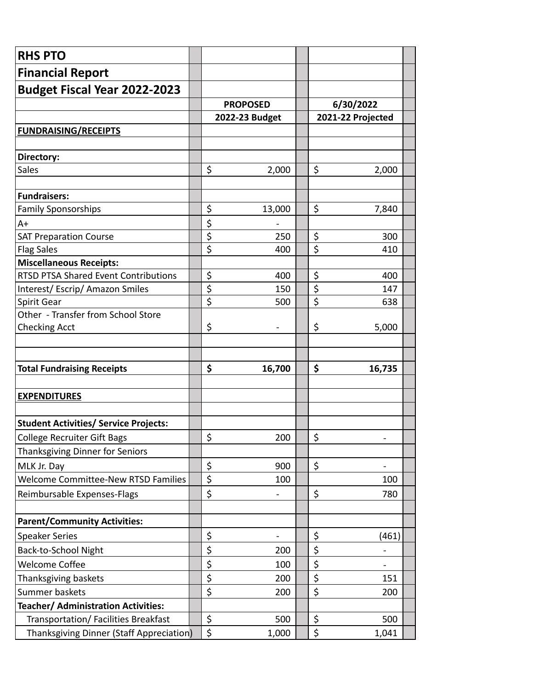| <b>RHS PTO</b>                                    |                  |                                   |                        |                          |
|---------------------------------------------------|------------------|-----------------------------------|------------------------|--------------------------|
| <b>Financial Report</b>                           |                  |                                   |                        |                          |
| Budget Fiscal Year 2022-2023                      |                  |                                   |                        |                          |
|                                                   |                  | <b>PROPOSED</b><br>2022-23 Budget |                        | 6/30/2022                |
|                                                   |                  |                                   |                        | 2021-22 Projected        |
| <b>FUNDRAISING/RECEIPTS</b>                       |                  |                                   |                        |                          |
|                                                   |                  |                                   |                        |                          |
| Directory:                                        |                  |                                   |                        |                          |
| Sales                                             | \$               | 2,000                             | \$                     | 2,000                    |
|                                                   |                  |                                   |                        |                          |
| <b>Fundraisers:</b>                               |                  |                                   |                        |                          |
| <b>Family Sponsorships</b>                        | \$               | 13,000                            | \$                     | 7,840                    |
| $A+$                                              | \$               |                                   |                        |                          |
| <b>SAT Preparation Course</b>                     | $\overline{\xi}$ | 250                               | \$                     | 300                      |
| <b>Flag Sales</b>                                 | \$               | 400                               | \$                     | 410                      |
| <b>Miscellaneous Receipts:</b>                    |                  |                                   |                        |                          |
| <b>RTSD PTSA Shared Event Contributions</b>       | \$               | 400                               | \$                     | 400                      |
| Interest/Escrip/Amazon Smiles                     | $\overline{\xi}$ | 150                               | \$<br>$\overline{\xi}$ | 147                      |
| Spirit Gear<br>Other - Transfer from School Store | \$               | 500                               |                        | 638                      |
|                                                   | \$               |                                   | \$                     | 5,000                    |
| <b>Checking Acct</b>                              |                  |                                   |                        |                          |
|                                                   |                  |                                   |                        |                          |
| <b>Total Fundraising Receipts</b>                 | \$               | 16,700                            | \$                     | 16,735                   |
|                                                   |                  |                                   |                        |                          |
| <b>EXPENDITURES</b>                               |                  |                                   |                        |                          |
|                                                   |                  |                                   |                        |                          |
| <b>Student Activities/ Service Projects:</b>      |                  |                                   |                        |                          |
| <b>College Recruiter Gift Bags</b>                | \$               | 200                               | \$                     |                          |
| Thanksgiving Dinner for Seniors                   |                  |                                   |                        |                          |
| MLK Jr. Day                                       | \$               | 900                               | \$                     |                          |
| <b>Welcome Committee-New RTSD Families</b>        | \$               | 100                               |                        | 100                      |
| Reimbursable Expenses-Flags                       | \$               |                                   | \$                     | 780                      |
|                                                   |                  |                                   |                        |                          |
| <b>Parent/Community Activities:</b>               |                  |                                   |                        |                          |
| <b>Speaker Series</b>                             | \$               |                                   | \$                     | (461)                    |
| Back-to-School Night                              | \$               | 200                               | \$                     |                          |
| <b>Welcome Coffee</b>                             | \$               | 100                               | \$                     |                          |
|                                                   |                  |                                   |                        | $\overline{\phantom{a}}$ |
| Thanksgiving baskets                              | \$               | 200                               | \$                     | 151                      |
| Summer baskets                                    | \$               | 200                               | \$                     | 200                      |
| Teacher/ Administration Activities:               |                  |                                   |                        |                          |
| Transportation/ Facilities Breakfast              | \$               | 500                               | \$                     | 500                      |
| <b>Thanksgiving Dinner (Staff Appreciation)</b>   | \$               | 1,000                             | \$                     | 1,041                    |